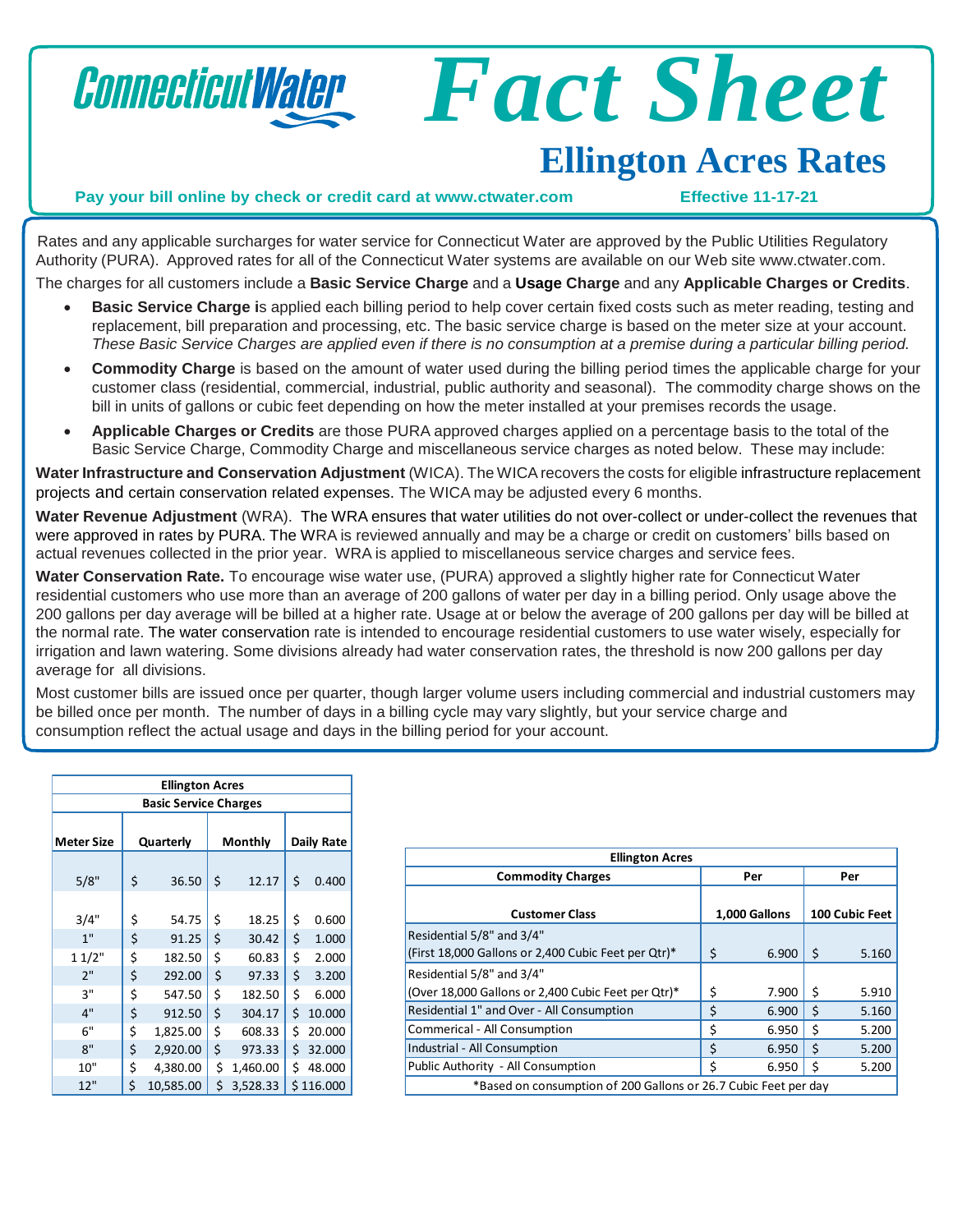

## *Fact Sheet*

## **Ellington Acres Rates**

**Pay your bill online by check or credit card at [www.ctwater.com](http://www.ctwater.com/) Effective 11-17-21**

Rates and any applicable surcharges for water service for Connecticut Water are approved by the Public Utilities Regulatory Authority (PURA). Approved rates for all of the Connecticut Water systems are available on our Web site [www.ctwater.com.](http://www.ctwater.com/) The charges for all customers include a **Basic Service Charge** and a **Usage Charge** and any **Applicable Charges or Credits**.

- **Basic Service Charge i**s applied each billing period to help cover certain fixed costs such as meter reading, testing and
- replacement, bill preparation and processing, etc. The basic service charge is based on the meter size at your account. These Basic Service Charges are applied even if there is no consumption at a premise during a particular billing period.
- **Commodity Charge** is based on the amount of water used during the billing period times the applicable charge for your customer class (residential, commercial, industrial, public authority and seasonal). The commodity charge shows on the bill in units of gallons or cubic feet depending on how the meter installed at your premises records the usage.
- **Applicable Charges or Credits** are those PURA approved charges applied on a percentage basis to the total of the Basic Service Charge, Commodity Charge and miscellaneous service charges as noted below. These may include:

**Water Infrastructure and Conservation Adjustment** (WICA). The WICArecovers the costs for eligible infrastructure replacement projects and certain conservation related expenses. The WICA may be adjusted every 6 months.

**Water Revenue Adjustment** (WRA). The WRA ensures that water utilities do not over-collect or under-collect the revenues that were approved in rates by PURA. The WRA is reviewed annually and may be a charge or credit on customers' bills based on actual revenues collected in the prior year. WRA is applied to miscellaneous service charges and service fees.

**Water Conservation Rate.** To encourage wise water use, (PURA) approved a slightly higher rate for Connecticut Water residential customers who use more than an average of 200 gallons of water per day in a billing period. Only usage above the 200 gallons per day average will be billed at a higher rate. Usage at or below the average of 200 gallons per day will be billed at the normal rate. The water conservation rate is intended to encourage residential customers to use water wisely, especially for irrigation and lawn watering. Some divisions already had water conservation rates, the threshold is now 200 gallons per day average for all divisions.

Most customer bills are issued once per quarter, though larger volume users including commercial and industrial customers may be billed once per month. The number of days in a billing cycle may vary slightly, but your service charge and consumption reflect the actual usage and days in the billing period for your account.

| <b>Ellington Acres</b>       |           |           |         |          |            |           |  |
|------------------------------|-----------|-----------|---------|----------|------------|-----------|--|
| <b>Basic Service Charges</b> |           |           |         |          |            |           |  |
| <b>Meter Size</b>            | Quarterly |           | Monthly |          | Daily Rate |           |  |
| 5/8"                         | \$        | 36.50     | \$      | 12.17    | \$         | 0.400     |  |
| 3/4"                         | \$        | 54.75     | \$      | 18.25    | \$         | 0.600     |  |
| 1"                           | \$        | 91.25     | \$      | 30.42    | \$         | 1.000     |  |
| 11/2"                        | \$        | 182.50    | \$      | 60.83    | \$         | 2.000     |  |
| 2"                           | \$        | 292.00    | \$      | 97.33    | \$         | 3.200     |  |
| 3"                           | \$        | 547.50    | \$      | 182.50   | \$         | 6.000     |  |
| 4"                           | \$        | 912.50    | \$      | 304.17   | \$         | 10.000    |  |
| 6"                           | \$        | 1,825.00  | \$      | 608.33   | \$         | 20.000    |  |
| 8"                           | \$        | 2,920.00  | \$      | 973.33   | \$         | 32.000    |  |
| 10"                          | \$        | 4,380.00  | \$      | 1,460.00 | \$         | 48.000    |  |
| 12"                          | \$        | 10,585.00 | \$      | 3,528.33 |            | \$116.000 |  |

| <b>Ellington Acres</b>                                          |    |               |    |                |  |
|-----------------------------------------------------------------|----|---------------|----|----------------|--|
| <b>Commodity Charges</b>                                        |    | Per           |    | Per            |  |
|                                                                 |    |               |    |                |  |
| <b>Customer Class</b>                                           |    | 1,000 Gallons |    | 100 Cubic Feet |  |
| Residential 5/8" and 3/4"                                       |    |               |    |                |  |
| (First 18,000 Gallons or 2,400 Cubic Feet per Qtr)*             | \$ | 6.900         | \$ | 5.160          |  |
| Residential 5/8" and 3/4"                                       |    |               |    |                |  |
| (Over 18,000 Gallons or 2,400 Cubic Feet per Qtr)*              |    | 7.900         | Ŝ. | 5.910          |  |
| Residential 1" and Over - All Consumption                       |    | 6.900         | Ś  | 5.160          |  |
| Commerical - All Consumption                                    |    | 6.950         | Ś. | 5.200          |  |
| Industrial - All Consumption                                    |    | 6.950         | Ś  | 5.200          |  |
| Public Authority - All Consumption                              |    | 6.950         | Ś  | 5.200          |  |
| *Based on consumption of 200 Gallons or 26.7 Cubic Feet per day |    |               |    |                |  |